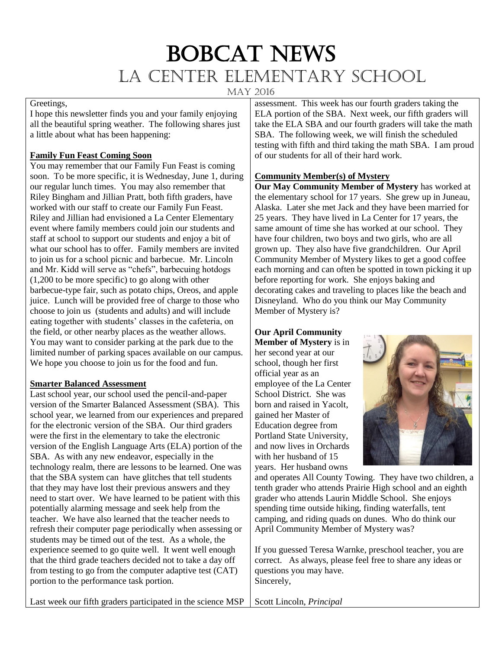# BOBCAT NEWS La Center Elementary School

May 2016

# Greetings,

I hope this newsletter finds you and your family enjoying all the beautiful spring weather. The following shares just a little about what has been happening:

## **Family Fun Feast Coming Soon**

You may remember that our Family Fun Feast is coming soon. To be more specific, it is Wednesday, June 1, during our regular lunch times. You may also remember that Riley Bingham and Jillian Pratt, both fifth graders, have worked with our staff to create our Family Fun Feast. Riley and Jillian had envisioned a La Center Elementary event where family members could join our students and staff at school to support our students and enjoy a bit of what our school has to offer. Family members are invited to join us for a school picnic and barbecue. Mr. Lincoln and Mr. Kidd will serve as "chefs", barbecuing hotdogs (1,200 to be more specific) to go along with other barbecue-type fair, such as potato chips, Oreos, and apple juice. Lunch will be provided free of charge to those who choose to join us (students and adults) and will include eating together with students' classes in the cafeteria, on the field, or other nearby places as the weather allows. You may want to consider parking at the park due to the limited number of parking spaces available on our campus. We hope you choose to join us for the food and fun.

#### **Smarter Balanced Assessment**

Last school year, our school used the pencil-and-paper version of the Smarter Balanced Assessment (SBA). This school year, we learned from our experiences and prepared for the electronic version of the SBA. Our third graders were the first in the elementary to take the electronic version of the English Language Arts (ELA) portion of the SBA. As with any new endeavor, especially in the technology realm, there are lessons to be learned. One was that the SBA system can have glitches that tell students that they may have lost their previous answers and they need to start over. We have learned to be patient with this potentially alarming message and seek help from the teacher. We have also learned that the teacher needs to refresh their computer page periodically when assessing or students may be timed out of the test. As a whole, the experience seemed to go quite well. It went well enough that the third grade teachers decided not to take a day off from testing to go from the computer adaptive test (CAT) portion to the performance task portion.

assessment. This week has our fourth graders taking the ELA portion of the SBA. Next week, our fifth graders will take the ELA SBA and our fourth graders will take the math SBA. The following week, we will finish the scheduled testing with fifth and third taking the math SBA. I am proud of our students for all of their hard work.

# **Community Member(s) of Mystery**

**Our May Community Member of Mystery** has worked at the elementary school for 17 years. She grew up in Juneau, Alaska. Later she met Jack and they have been married for 25 years. They have lived in La Center for 17 years, the same amount of time she has worked at our school. They have four children, two boys and two girls, who are all grown up. They also have five grandchildren. Our April Community Member of Mystery likes to get a good coffee each morning and can often be spotted in town picking it up before reporting for work. She enjoys baking and decorating cakes and traveling to places like the beach and Disneyland. Who do you think our May Community Member of Mystery is?

# **Our April Community**

**Member of Mystery** is in her second year at our school, though her first official year as an employee of the La Center School District. She was born and raised in Yacolt, gained her Master of Education degree from Portland State University, and now lives in Orchards with her husband of 15 years. Her husband owns



and operates All County Towing. They have two children, a tenth grader who attends Prairie High school and an eighth grader who attends Laurin Middle School. She enjoys spending time outside hiking, finding waterfalls, tent camping, and riding quads on dunes. Who do think our April Community Member of Mystery was?

If you guessed Teresa Warnke, preschool teacher, you are correct. As always, please feel free to share any ideas or questions you may have. Sincerely,

Last week our fifth graders participated in the science MSP Scott Lincoln, *Principal*